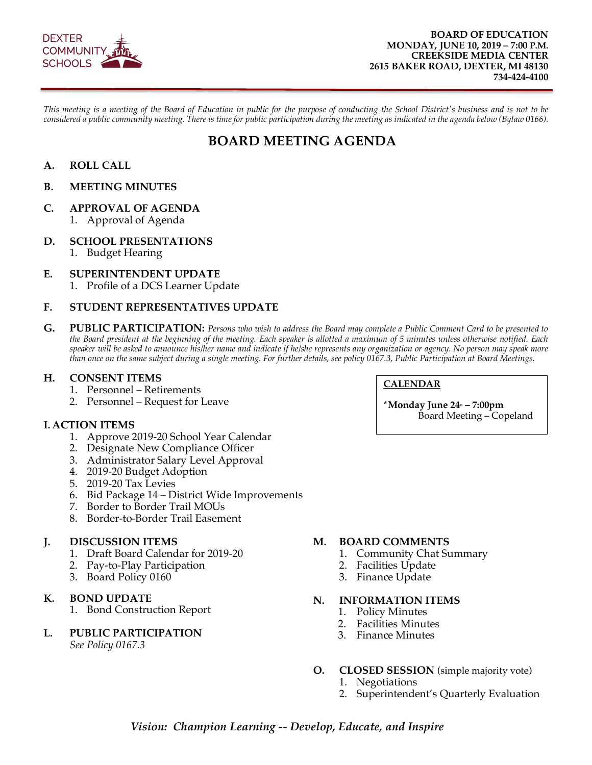

*This meeting is a meeting of the Board of Education in public for the purpose of conducting the School District's business and is not to be considered a public community meeting. There is time for public participation during the meeting as indicated in the agenda below (Bylaw 0166).*

## **BOARD MEETING AGENDA**

## **A. ROLL CALL**

#### **B. MEETING MINUTES**

#### **C. APPROVAL OF AGENDA**

1. Approval of Agenda

#### **D. SCHOOL PRESENTATIONS**

1. Budget Hearing

#### **E. SUPERINTENDENT UPDATE**

1. Profile of a DCS Learner Update

#### **F. STUDENT REPRESENTATIVES UPDATE**

**G. PUBLIC PARTICIPATION:** *Persons who wish to address the Board may complete a Public Comment Card to be presented to the Board president at the beginning of the meeting. Each speaker is allotted a maximum of 5 minutes unless otherwise notified. Each speaker will be asked to announce his/her name and indicate if he/she represents any organization or agency. No person may speak more than once on the same subject during a single meeting. For further details, see policy 0167.3, Public Participation at Board Meetings.* 

#### **H. CONSENT ITEMS**

- 1. Personnel Retirements
- 2. Personnel Request for Leave

#### **I. ACTION ITEMS**

- 1. Approve 2019-20 School Year Calendar
- 2. Designate New Compliance Officer
- 3. Administrator Salary Level Approval
- 4. 2019-20 Budget Adoption
- 5. 2019-20 Tax Levies
- 6. Bid Package 14 District Wide Improvements
- 7. Border to Border Trail MOUs
- 8. Border-to-Border Trail Easement

#### **J. DISCUSSION ITEMS**

- 1. Draft Board Calendar for 2019-20
- 2. Pay-to-Play Participation
- 3. Board Policy 0160

#### **K. BOND UPDATE**

1. Bond Construction Report

## **L. PUBLIC PARTICIPATION**

*See Policy 0167.3* 

## **M. BOARD COMMENTS**

- 1. Community Chat Summary
- 2. Facilities Update
- 3. Finance Update

#### **N. INFORMATION ITEMS**

- 1. Policy Minutes
- 2. Facilities Minutes
- 3. Finance Minutes

#### **O. CLOSED SESSION** (simple majority vote)

- 1. Negotiations
- 2. Superintendent's Quarterly Evaluation

## *Vision: Champion Learning -- Develop, Educate, and Inspire*

#### **CALENDAR**

**\*Monday June 24<sup>th</sup> – 7:00pm** Board Meeting – Copeland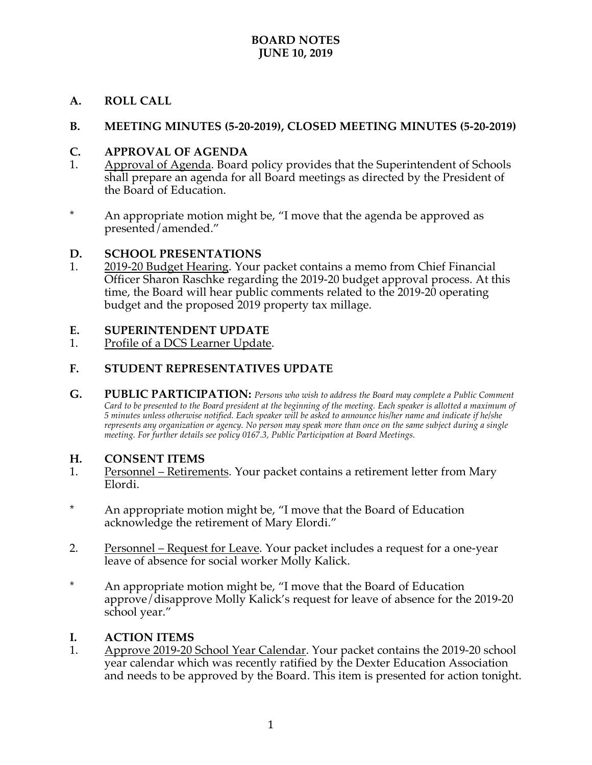## **A. ROLL CALL**

## **B. MEETING MINUTES (5-20-2019), CLOSED MEETING MINUTES (5-20-2019)**

## **C. APPROVAL OF AGENDA**

- 1. Approval of Agenda. Board policy provides that the Superintendent of Schools shall prepare an agenda for all Board meetings as directed by the President of the Board of Education.
- \* An appropriate motion might be, "I move that the agenda be approved as presented/amended."

## **D. SCHOOL PRESENTATIONS**

1. 2019-20 Budget Hearing. Your packet contains a memo from Chief Financial Officer Sharon Raschke regarding the 2019-20 budget approval process. At this time, the Board will hear public comments related to the 2019-20 operating budget and the proposed 2019 property tax millage.

## **E. SUPERINTENDENT UPDATE**

1. Profile of a DCS Learner Update.

## **F. STUDENT REPRESENTATIVES UPDATE**

**G. PUBLIC PARTICIPATION:** *Persons who wish to address the Board may complete a Public Comment Card to be presented to the Board president at the beginning of the meeting. Each speaker is allotted a maximum of 5 minutes unless otherwise notified. Each speaker will be asked to announce his/her name and indicate if he/she represents any organization or agency. No person may speak more than once on the same subject during a single meeting. For further details see policy 0167.3, Public Participation at Board Meetings.*

## **H. CONSENT ITEMS**

- 1. Personnel Retirements. Your packet contains a retirement letter from Mary Elordi.
- \* An appropriate motion might be, "I move that the Board of Education acknowledge the retirement of Mary Elordi."
- 2. Personnel Request for Leave. Your packet includes a request for a one-year leave of absence for social worker Molly Kalick.
- \* An appropriate motion might be, "I move that the Board of Education approve/disapprove Molly Kalick's request for leave of absence for the 2019-20 school year."

## **I. ACTION ITEMS**

1. Approve 2019-20 School Year Calendar. Your packet contains the 2019-20 school year calendar which was recently ratified by the Dexter Education Association and needs to be approved by the Board. This item is presented for action tonight.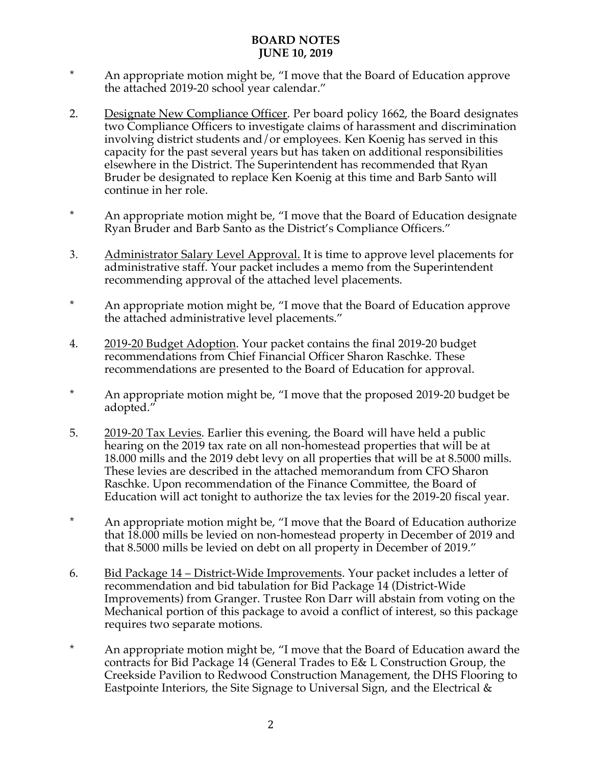- \* An appropriate motion might be, "I move that the Board of Education approve the attached 2019-20 school year calendar."
- 2. Designate New Compliance Officer. Per board policy 1662, the Board designates two Compliance Officers to investigate claims of harassment and discrimination involving district students and/or employees. Ken Koenig has served in this capacity for the past several years but has taken on additional responsibilities elsewhere in the District. The Superintendent has recommended that Ryan Bruder be designated to replace Ken Koenig at this time and Barb Santo will continue in her role.
- \* An appropriate motion might be, "I move that the Board of Education designate Ryan Bruder and Barb Santo as the District's Compliance Officers."
- 3. Administrator Salary Level Approval. It is time to approve level placements for administrative staff. Your packet includes a memo from the Superintendent recommending approval of the attached level placements.
- \* An appropriate motion might be, "I move that the Board of Education approve the attached administrative level placements."
- 4. 2019-20 Budget Adoption. Your packet contains the final 2019-20 budget recommendations from Chief Financial Officer Sharon Raschke. These recommendations are presented to the Board of Education for approval.
- \* An appropriate motion might be, "I move that the proposed 2019-20 budget be adopted."
- 5. 2019-20 Tax Levies. Earlier this evening, the Board will have held a public hearing on the 2019 tax rate on all non-homestead properties that will be at 18.000 mills and the 2019 debt levy on all properties that will be at 8.5000 mills. These levies are described in the attached memorandum from CFO Sharon Raschke. Upon recommendation of the Finance Committee, the Board of Education will act tonight to authorize the tax levies for the 2019-20 fiscal year.
- \* An appropriate motion might be, "I move that the Board of Education authorize that 18.000 mills be levied on non-homestead property in December of 2019 and that 8.5000 mills be levied on debt on all property in December of 2019."
- 6. Bid Package 14 District-Wide Improvements. Your packet includes a letter of recommendation and bid tabulation for Bid Package 14 (District-Wide Improvements) from Granger. Trustee Ron Darr will abstain from voting on the Mechanical portion of this package to avoid a conflict of interest, so this package requires two separate motions.
- \* An appropriate motion might be, "I move that the Board of Education award the contracts for Bid Package 14 (General Trades to E& L Construction Group, the Creekside Pavilion to Redwood Construction Management, the DHS Flooring to Eastpointe Interiors, the Site Signage to Universal Sign, and the Electrical &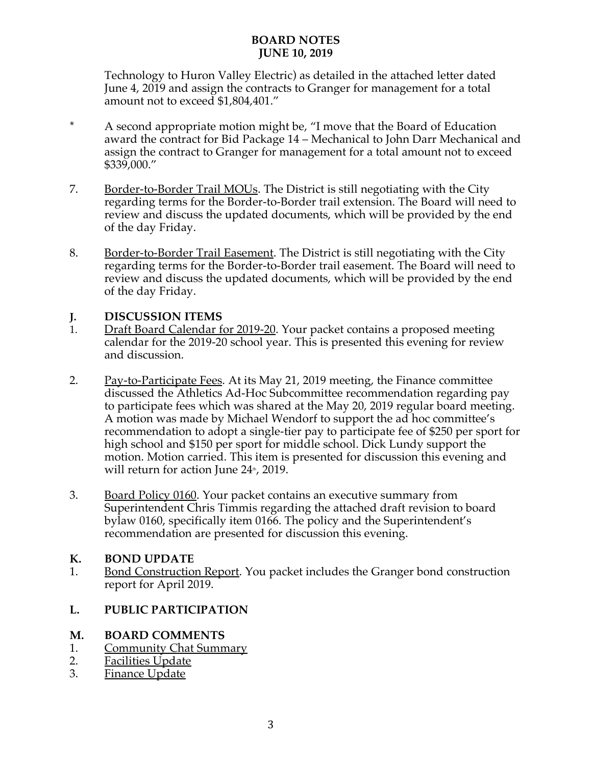Technology to Huron Valley Electric) as detailed in the attached letter dated June 4, 2019 and assign the contracts to Granger for management for a total amount not to exceed \$1,804,401."

- \* A second appropriate motion might be, "I move that the Board of Education award the contract for Bid Package 14 – Mechanical to John Darr Mechanical and assign the contract to Granger for management for a total amount not to exceed \$339,000."
- 7. Border-to-Border Trail MOUs. The District is still negotiating with the City regarding terms for the Border-to-Border trail extension. The Board will need to review and discuss the updated documents, which will be provided by the end of the day Friday.
- 8. Border-to-Border Trail Easement. The District is still negotiating with the City regarding terms for the Border-to-Border trail easement. The Board will need to review and discuss the updated documents, which will be provided by the end of the day Friday.

## **J. DISCUSSION ITEMS**

- 1. Draft Board Calendar for 2019-20. Your packet contains a proposed meeting calendar for the 2019-20 school year. This is presented this evening for review and discussion.
- 2. Pay-to-Participate Fees. At its May 21, 2019 meeting, the Finance committee discussed the Athletics Ad-Hoc Subcommittee recommendation regarding pay to participate fees which was shared at the May 20, 2019 regular board meeting. A motion was made by Michael Wendorf to support the ad hoc committee's recommendation to adopt a single-tier pay to participate fee of \$250 per sport for high school and \$150 per sport for middle school. Dick Lundy support the motion. Motion carried. This item is presented for discussion this evening and will return for action June  $24^{\circ}$ , 2019.
- 3. Board Policy 0160. Your packet contains an executive summary from Superintendent Chris Timmis regarding the attached draft revision to board bylaw 0160, specifically item 0166. The policy and the Superintendent's recommendation are presented for discussion this evening.

## **K. BOND UPDATE**

1. Bond Construction Report. You packet includes the Granger bond construction report for April 2019.

## **L. PUBLIC PARTICIPATION**

## **M. BOARD COMMENTS**

- 1. Community Chat Summary
- 2. Facilities Update
- 3. Finance Update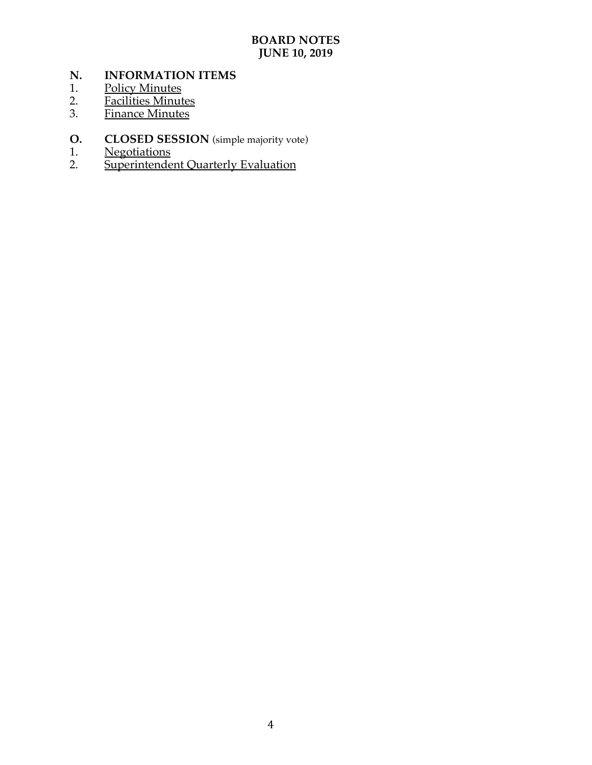# **N. INFORMATION ITEMS**

- 1. Policy Minutes
- 2. <u>Facilities Minutes</u>
- 3. Finance Minutes
- **O. CLOSED SESSION** (simple majority vote) 1. Negotiations
- 1. Negotiations
- 2. Superintendent Quarterly Evaluation